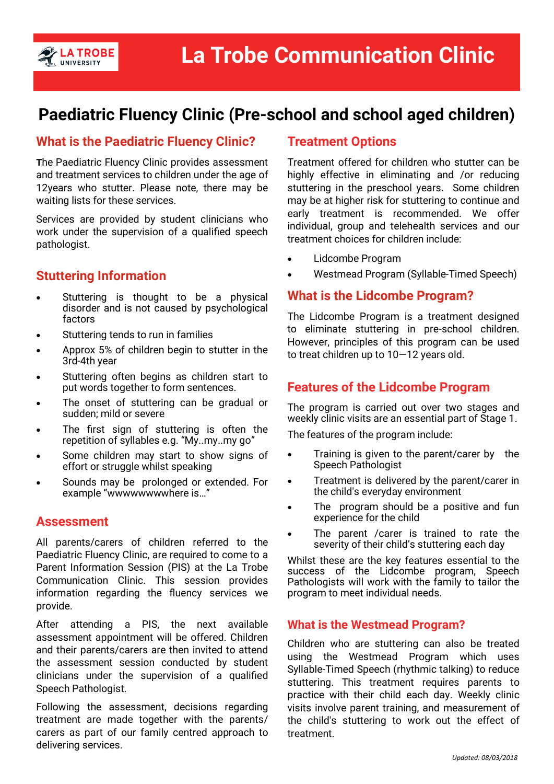

# **Paediatric Fluency Clinic (Pre-school and school aged children)**

### **What is the Paediatric Fluency Clinic?**

**T**he Paediatric Fluency Clinic provides assessment and treatment services to children under the age of 12years who stutter. Please note, there may be waiting lists for these services.

Services are provided by student clinicians who work under the supervision of a qualified speech pathologist.

# **Stuttering Information**

- Stuttering is thought to be a physical disorder and is not caused by psychological factors
- Stuttering tends to run in families
- Approx 5% of children begin to stutter in the 3rd-4th year
- Stuttering often begins as children start to put words together to form sentences.
- The onset of stuttering can be gradual or sudden; mild or severe
- The first sign of stuttering is often the repetition of syllables e.g. "My..my..my go"
- Some children may start to show signs of effort or struggle whilst speaking
- Sounds may be prolonged or extended. For example "wwwwwwwwhere is…"

### **Assessment**

All parents/carers of children referred to the Paediatric Fluency Clinic, are required to come to a Parent Information Session (PIS) at the La Trobe Communication Clinic. This session provides information regarding the fluency services we provide.

After attending a PIS, the next available assessment appointment will be offered. Children and their parents/carers are then invited to attend the assessment session conducted by student clinicians under the supervision of a qualified Speech Pathologist.

Following the assessment, decisions regarding treatment are made together with the parents/ carers as part of our family centred approach to delivering services.

### **Treatment Options**

Treatment offered for children who stutter can be highly effective in eliminating and /or reducing stuttering in the preschool years. Some children may be at higher risk for stuttering to continue and early treatment is recommended. We offer individual, group and telehealth services and our treatment choices for children include:

- Lidcombe Program
- Westmead Program (Syllable-Timed Speech)

### **What is the Lidcombe Program?**

The Lidcombe Program is a treatment designed to eliminate stuttering in pre-school children. However, principles of this program can be used to treat children up to 10—12 years old.

### **Features of the Lidcombe Program**

The program is carried out over two stages and weekly clinic visits are an essential part of Stage 1.

The features of the program include:

- Training is given to the parent/carer by the Speech Pathologist
- Treatment is delivered by the parent/carer in the child's everyday environment
- The program should be a positive and fun experience for the child
- The parent / carer is trained to rate the severity of their child's stuttering each day

Whilst these are the key features essential to the success of the Lidcombe program, Speech Pathologists will work with the family to tailor the program to meet individual needs.

### **What is the Westmead Program?**

Children who are stuttering can also be treated using the Westmead Program which uses Syllable-Timed Speech (rhythmic talking) to reduce stuttering. This treatment requires parents to practice with their child each day. Weekly clinic visits involve parent training, and measurement of the child's stuttering to work out the effect of treatment.